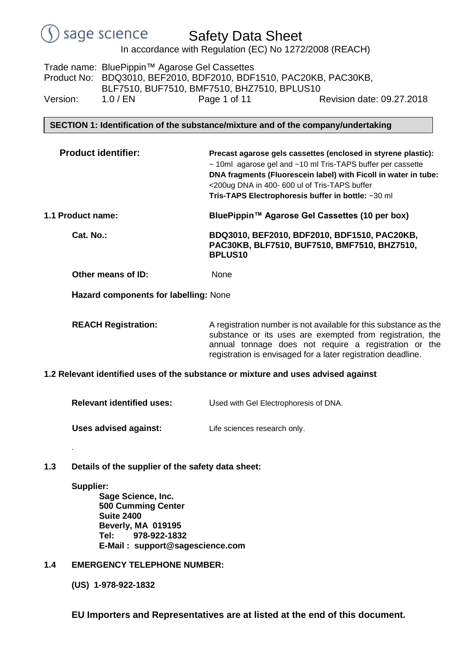# Safety Data Sheet

In accordance with Regulation (EC) No 1272/2008 (REACH)

Trade name: BluePippin™ Agarose Gel Cassettes Product No: BDQ3010, BEF2010, BDF2010, BDF1510, PAC20KB, PAC30KB, BLF7510, BUF7510, BMF7510, BHZ7510, BPLUS10 Version: 1.0 / EN Page 1 of 11 Revision date: 09.27.2018

**SECTION 1: Identification of the substance/mixture and of the company/undertaking**

 **Product identifier: Precast agarose gels cassettes (enclosed in styrene plastic):** ~ 10ml agarose gel and ~10 ml Tris-TAPS buffer per cassette **DNA fragments (Fluorescein label) with Ficoll in water in tube:**  <200ug DNA in 400- 600 ul of Tris-TAPS buffer **Tris-TAPS Electrophoresis buffer in bottle:** ~30 ml **1.1 Product name: BluePippin™ Agarose Gel Cassettes (10 per box)**

**Cat. No.: BDQ3010, BEF2010, BDF2010, BDF1510, PAC20KB, PAC30KB, BLF7510, BUF7510, BMF7510, BHZ7510, BPLUS10**

**Other means of ID:** None

**Hazard components for labelling:** None

**REACH Registration:** A registration number is not available for this substance as the substance or its uses are exempted from registration, the annual tonnage does not require a registration or the registration is envisaged for a later registration deadline.

# **1.2 Relevant identified uses of the substance or mixture and uses advised against**

**Relevant identified uses:** Used with Gel Electrophoresis of DNA.

**Uses advised against:** Life sciences research only.

**1.3 Details of the supplier of the safety data sheet:**

# **Supplier:**

.

**Sage Science, Inc. 500 Cumming Center Suite 2400 Beverly, MA 019195 Tel: 978-922-1832 E-Mail : support@sagescience.com**

# **1.4 EMERGENCY TELEPHONE NUMBER:**

**(US) 1-978-922-1832**

**EU Importers and Representatives are at listed at the end of this document.**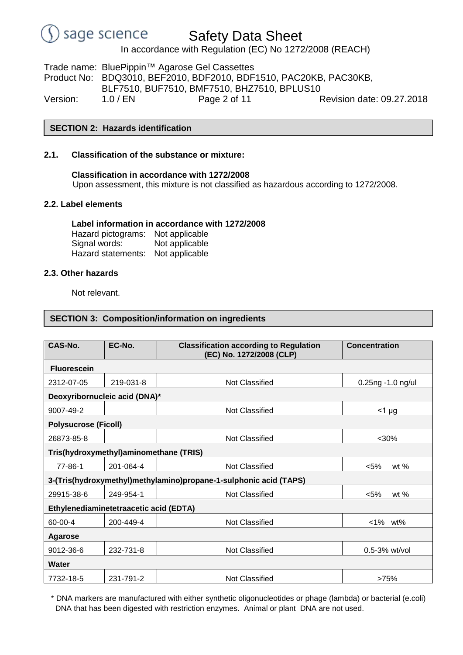# Safety Data Sheet

In accordance with Regulation (EC) No 1272/2008 (REACH)

Trade name: BluePippin™ Agarose Gel Cassettes Product No: BDQ3010, BEF2010, BDF2010, BDF1510, PAC20KB, PAC30KB, BLF7510, BUF7510, BMF7510, BHZ7510, BPLUS10 Version: 1.0 / EN Page 2 of 11 Revision date: 09.27.2018

# **SECTION 2: Hazards identification**

### **2.1. Classification of the substance or mixture:**

**Classification in accordance with 1272/2008** Upon assessment, this mixture is not classified as hazardous according to 1272/2008.

### **2.2. Label elements**

#### **Label information in accordance with 1272/2008** Hazard pictograms: Not applicable

Signal words: Not applicable Hazard statements: Not applicable

### **2.3. Other hazards**

Not relevant.

### **SECTION 3: Composition/information on ingredients**

| CAS-No.                                                           | EC-No.    |                                                                           |                   |  |  |  |  |  |  |  |
|-------------------------------------------------------------------|-----------|---------------------------------------------------------------------------|-------------------|--|--|--|--|--|--|--|
|                                                                   |           | <b>Classification according to Regulation</b><br>(EC) No. 1272/2008 (CLP) | Concentration     |  |  |  |  |  |  |  |
| <b>Fluorescein</b>                                                |           |                                                                           |                   |  |  |  |  |  |  |  |
| 2312-07-05                                                        | 219-031-8 | <b>Not Classified</b>                                                     | 0.25ng -1.0 ng/ul |  |  |  |  |  |  |  |
| Deoxyribornucleic acid (DNA)*                                     |           |                                                                           |                   |  |  |  |  |  |  |  |
| 9007-49-2                                                         |           | <b>Not Classified</b>                                                     | $<$ 1 µg          |  |  |  |  |  |  |  |
| <b>Polysucrose (Ficoll)</b>                                       |           |                                                                           |                   |  |  |  |  |  |  |  |
| 26873-85-8                                                        |           | <b>Not Classified</b>                                                     | $30%$             |  |  |  |  |  |  |  |
| Tris(hydroxymethyl)aminomethane (TRIS)                            |           |                                                                           |                   |  |  |  |  |  |  |  |
| 77-86-1                                                           | 201-064-4 | Not Classified                                                            | $< 5\%$<br>wt $%$ |  |  |  |  |  |  |  |
| 3-(Tris(hydroxymethyl)methylamino)propane-1-sulphonic acid (TAPS) |           |                                                                           |                   |  |  |  |  |  |  |  |
| 29915-38-6                                                        | 249-954-1 | <b>Not Classified</b>                                                     | $< 5\%$<br>wt $%$ |  |  |  |  |  |  |  |
| Ethylenediaminetetraacetic acid (EDTA)                            |           |                                                                           |                   |  |  |  |  |  |  |  |
| 60-00-4                                                           | 200-449-4 | <b>Not Classified</b>                                                     | $<$ 1%<br>wt%     |  |  |  |  |  |  |  |
| <b>Agarose</b>                                                    |           |                                                                           |                   |  |  |  |  |  |  |  |
| 9012-36-6                                                         | 232-731-8 | <b>Not Classified</b>                                                     | $0.5-3%$ wt/vol   |  |  |  |  |  |  |  |
| <b>Water</b>                                                      |           |                                                                           |                   |  |  |  |  |  |  |  |
| 7732-18-5                                                         | 231-791-2 | <b>Not Classified</b>                                                     | >75%              |  |  |  |  |  |  |  |

\* DNA markers are manufactured with either synthetic oligonucleotides or phage (lambda) or bacterial (e.coli) DNA that has been digested with restriction enzymes. Animal or plant DNA are not used.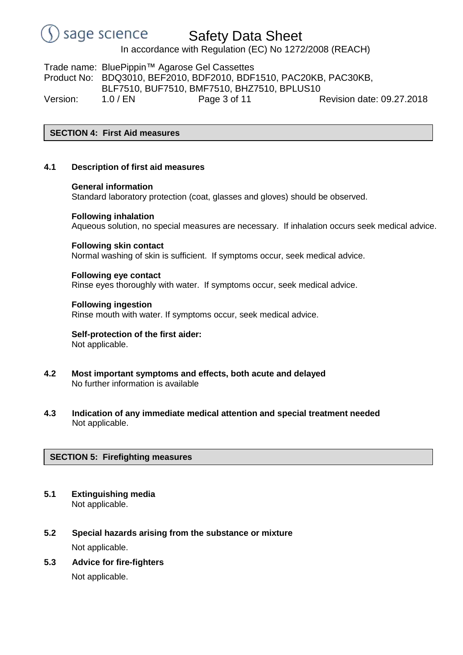

In accordance with Regulation (EC) No 1272/2008 (REACH)

Trade name: BluePippin™ Agarose Gel Cassettes Product No: BDQ3010, BEF2010, BDF2010, BDF1510, PAC20KB, PAC30KB, BLF7510, BUF7510, BMF7510, BHZ7510, BPLUS10 Version: 1.0 / EN Page 3 of 11 Revision date: 09.27.2018

# **SECTION 4: First Aid measures**

### **4.1 Description of first aid measures**

#### **General information**

Standard laboratory protection (coat, glasses and gloves) should be observed.

#### **Following inhalation**

Aqueous solution, no special measures are necessary. If inhalation occurs seek medical advice.

#### **Following skin contact**

Normal washing of skin is sufficient. If symptoms occur, seek medical advice.

#### **Following eye contact**

Rinse eyes thoroughly with water. If symptoms occur, seek medical advice.

#### **Following ingestion**

Rinse mouth with water. If symptoms occur, seek medical advice.

### **Self-protection of the first aider:** Not applicable.

- **4.2 Most important symptoms and effects, both acute and delayed** No further information is available
- **4.3 Indication of any immediate medical attention and special treatment needed** Not applicable.

# **SECTION 5: Firefighting measures**

- **5.1 Extinguishing media** Not applicable.
- **5.2 Special hazards arising from the substance or mixture** Not applicable.
- **5.3 Advice for fire-fighters**

Not applicable.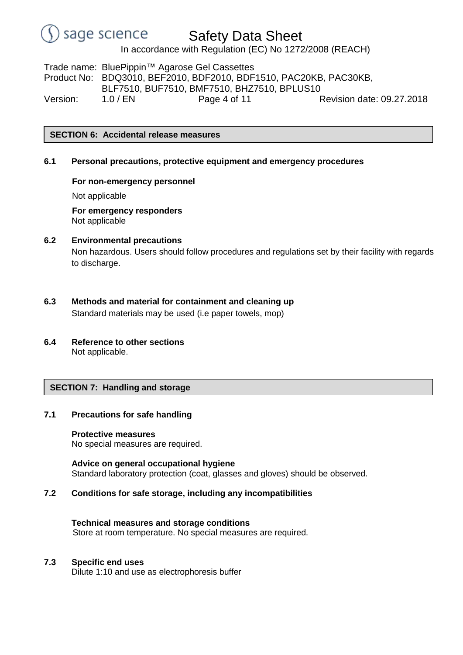# Safety Data Sheet

In accordance with Regulation (EC) No 1272/2008 (REACH)

Trade name: BluePippin™ Agarose Gel Cassettes Product No: BDQ3010, BEF2010, BDF2010, BDF1510, PAC20KB, PAC30KB, BLF7510, BUF7510, BMF7510, BHZ7510, BPLUS10 Version: 1.0 / EN Page 4 of 11 Revision date: 09.27.2018

**SECTION 6: Accidental release measures**

### **6.1 Personal precautions, protective equipment and emergency procedures**

# **For non-emergency personnel**

Not applicable

**For emergency responders** Not applicable

# **6.2 Environmental precautions**

Non hazardous. Users should follow procedures and regulations set by their facility with regards to discharge.

- **6.3 Methods and material for containment and cleaning up** Standard materials may be used (i.e paper towels, mop)
- **6.4 Reference to other sections** Not applicable.

# **SECTION 7: Handling and storage**

# **7.1 Precautions for safe handling**

### **Protective measures**

No special measures are required.

**Advice on general occupational hygiene** Standard laboratory protection (coat, glasses and gloves) should be observed.

# **7.2 Conditions for safe storage, including any incompatibilities**

**Technical measures and storage conditions** Store at room temperature. No special measures are required.

### **7.3 Specific end uses**

Dilute 1:10 and use as electrophoresis buffer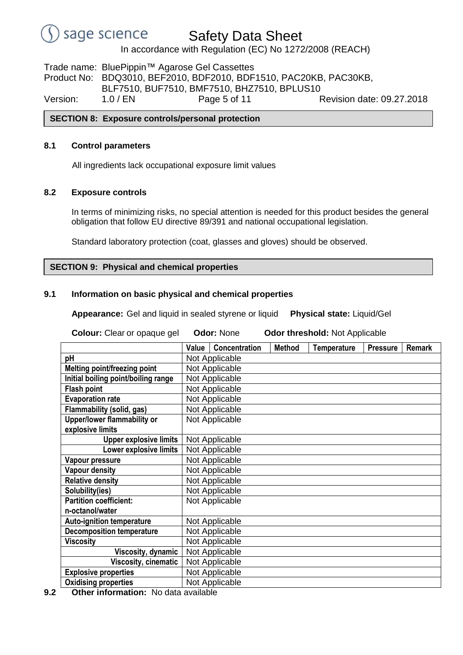

In accordance with Regulation (EC) No 1272/2008 (REACH)

Trade name: BluePippin™ Agarose Gel Cassettes Product No: BDQ3010, BEF2010, BDF2010, BDF1510, PAC20KB, PAC30KB, BLF7510, BUF7510, BMF7510, BHZ7510, BPLUS10 Version: 1.0 / EN Page 5 of 11 Revision date: 09.27.2018

# **SECTION 8: Exposure controls/personal protection**

### **8.1 Control parameters**

All ingredients lack occupational exposure limit values

### **8.2 Exposure controls**

In terms of minimizing risks, no special attention is needed for this product besides the general obligation that follow EU directive 89/391 and national occupational legislation.

Standard laboratory protection (coat, glasses and gloves) should be observed.

### **SECTION 9: Physical and chemical properties**

### **9.1 Information on basic physical and chemical properties**

**Appearance:** Gel and liquid in sealed styrene or liquid **Physical state:** Liquid/Gel

| Colour: Clear or opaque gel          | <b>Odor: None</b> |                | <b>Odor threshold: Not Applicable</b> |                    |                 |               |
|--------------------------------------|-------------------|----------------|---------------------------------------|--------------------|-----------------|---------------|
|                                      | Value             | Concentration  | <b>Method</b>                         | <b>Temperature</b> | <b>Pressure</b> | <b>Remark</b> |
| pH                                   |                   | Not Applicable |                                       |                    |                 |               |
| Melting point/freezing point         |                   | Not Applicable |                                       |                    |                 |               |
| Initial boiling point/boiling range  |                   | Not Applicable |                                       |                    |                 |               |
| <b>Flash point</b>                   |                   | Not Applicable |                                       |                    |                 |               |
| <b>Evaporation rate</b>              |                   | Not Applicable |                                       |                    |                 |               |
| Flammability (solid, gas)            |                   | Not Applicable |                                       |                    |                 |               |
| Upper/lower flammability or          |                   | Not Applicable |                                       |                    |                 |               |
| explosive limits                     |                   |                |                                       |                    |                 |               |
| <b>Upper explosive limits</b>        |                   | Not Applicable |                                       |                    |                 |               |
| Lower explosive limits               |                   | Not Applicable |                                       |                    |                 |               |
| Vapour pressure                      |                   | Not Applicable |                                       |                    |                 |               |
| <b>Vapour density</b>                |                   | Not Applicable |                                       |                    |                 |               |
| <b>Relative density</b>              |                   | Not Applicable |                                       |                    |                 |               |
| Solubility(ies)                      |                   | Not Applicable |                                       |                    |                 |               |
| <b>Partition coefficient:</b>        |                   | Not Applicable |                                       |                    |                 |               |
| n-octanol/water                      |                   |                |                                       |                    |                 |               |
| <b>Auto-ignition temperature</b>     |                   | Not Applicable |                                       |                    |                 |               |
| <b>Decomposition temperature</b>     |                   | Not Applicable |                                       |                    |                 |               |
| <b>Viscosity</b>                     |                   | Not Applicable |                                       |                    |                 |               |
| Viscosity, dynamic                   |                   | Not Applicable |                                       |                    |                 |               |
| <b>Viscosity, cinematic</b>          |                   | Not Applicable |                                       |                    |                 |               |
| <b>Explosive properties</b>          |                   | Not Applicable |                                       |                    |                 |               |
| <b>Oxidising properties</b>          |                   | Not Applicable |                                       |                    |                 |               |
| Other information: No data available |                   |                |                                       |                    |                 |               |

**9.2 Other information:** No data availa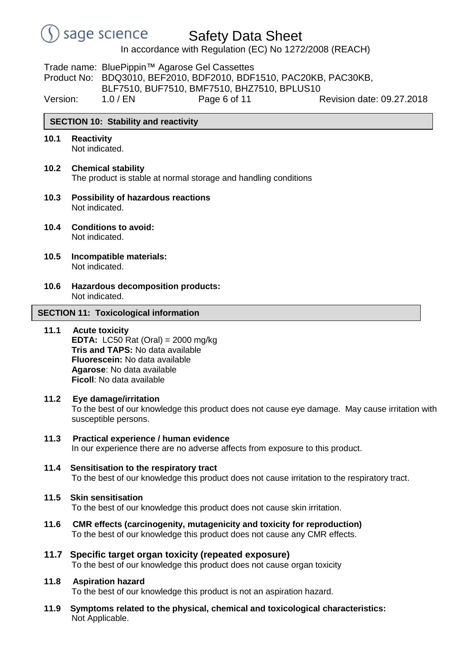

In accordance with Regulation (EC) No 1272/2008 (REACH)

Trade name: BluePippin™ Agarose Gel Cassettes Product No: BDQ3010, BEF2010, BDF2010, BDF1510, PAC20KB, PAC30KB, BLF7510, BUF7510, BMF7510, BHZ7510, BPLUS10

Version: 1.0 / EN Page 6 of 11 Revision date: 09.27.2018

# **SECTION 10: Stability and reactivity**

**10.1 Reactivity**

Not indicated.

- **10.2 Chemical stability** The product is stable at normal storage and handling conditions
- **10.3 Possibility of hazardous reactions** Not indicated.
- **10.4 Conditions to avoid:** Not indicated.
- **10.5 Incompatible materials:** Not indicated.
- **10.6 Hazardous decomposition products:** Not indicated.

### **SECTION 11: Toxicological information**

**11.1 Acute toxicity EDTA:** LC50 Rat (Oral) = 2000 mg/kg **Tris and TAPS:** No data available **Fluorescein:** No data available **Agarose**: No data available **Ficoll**: No data available

# **11.2 Eye damage/irritation**

To the best of our knowledge this product does not cause eye damage. May cause irritation with susceptible persons.

- **11.3 Practical experience / human evidence** In our experience there are no adverse affects from exposure to this product.
- **11.4 Sensitisation to the respiratory tract** To the best of our knowledge this product does not cause irritation to the respiratory tract.
- **11.5 Skin sensitisation**

To the best of our knowledge this product does not cause skin irritation.

- **11.6 CMR effects (carcinogenity, mutagenicity and toxicity for reproduction)** To the best of our knowledge this product does not cause any CMR effects.
- **11.7 Specific target organ toxicity (repeated exposure)** To the best of our knowledge this product does not cause organ toxicity

# **11.8 Aspiration hazard**

To the best of our knowledge this product is not an aspiration hazard.

**11.9 Symptoms related to the physical, chemical and toxicological characteristics:** Not Applicable.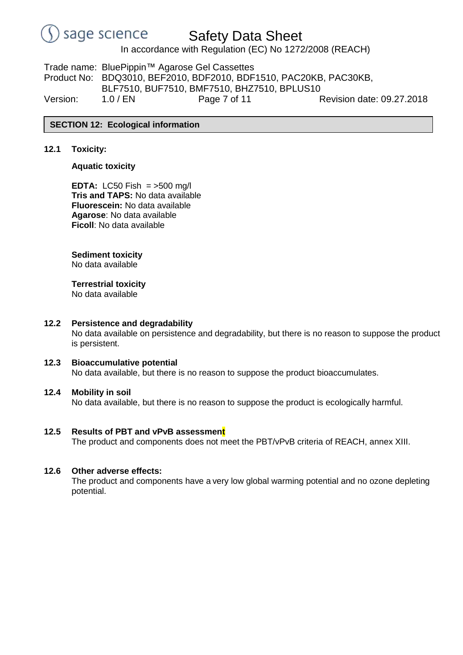

In accordance with Regulation (EC) No 1272/2008 (REACH)

Trade name: BluePippin™ Agarose Gel Cassettes Product No: BDQ3010, BEF2010, BDF2010, BDF1510, PAC20KB, PAC30KB, BLF7510, BUF7510, BMF7510, BHZ7510, BPLUS10 Version: 1.0 / EN Page 7 of 11 Revision date: 09.27.2018

### **SECTION 12: Ecological information**

# **12.1 Toxicity:**

### **Aquatic toxicity**

**EDTA:** LC50 Fish = >500 mg/l **Tris and TAPS:** No data available **Fluorescein:** No data available **Agarose**: No data available **Ficoll**: No data available

### **Sediment toxicity**

No data available

# **Terrestrial toxicity**

No data available

### **12.2 Persistence and degradability**

No data available on persistence and degradability, but there is no reason to suppose the product is persistent.

# **12.3 Bioaccumulative potential**

No data available, but there is no reason to suppose the product bioaccumulates.

### **12.4 Mobility in soil**

No data available, but there is no reason to suppose the product is ecologically harmful.

### **12.5 Results of PBT and vPvB assessment**

The product and components does not meet the PBT/vPvB criteria of REACH, annex XIII.

### **12.6 Other adverse effects:**

The product and components have a very low global warming potential and no ozone depleting potential.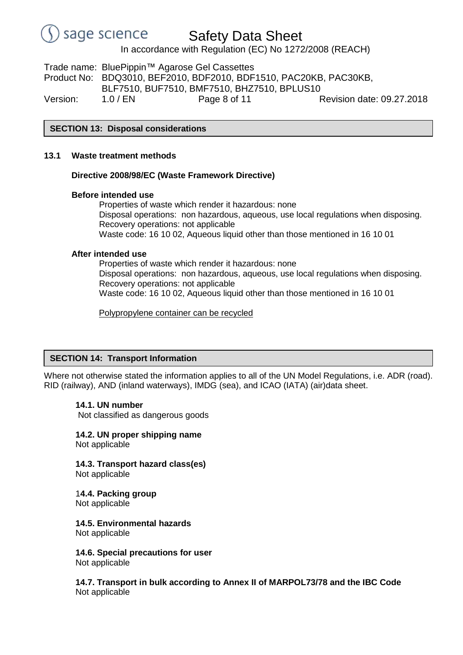

In accordance with Regulation (EC) No 1272/2008 (REACH)

Trade name: BluePippin™ Agarose Gel Cassettes Product No: BDQ3010, BEF2010, BDF2010, BDF1510, PAC20KB, PAC30KB, BLF7510, BUF7510, BMF7510, BHZ7510, BPLUS10 Version: 1.0 / EN Page 8 of 11 Revision date: 09.27.2018

**SECTION 13: Disposal considerations**

### **13.1 Waste treatment methods**

### **Directive 2008/98/EC (Waste Framework Directive)**

### **Before intended use**

Properties of waste which render it hazardous: none Disposal operations: non hazardous, aqueous, use local regulations when disposing. Recovery operations: not applicable Waste code: 16 10 02, Aqueous liquid other than those mentioned in 16 10 01

# **After intended use**

Properties of waste which render it hazardous: none Disposal operations: non hazardous, aqueous, use local regulations when disposing. Recovery operations: not applicable Waste code: 16 10 02, Aqueous liquid other than those mentioned in 16 10 01

Polypropylene container can be recycled

# **SECTION 14: Transport Information**

Where not otherwise stated the information applies to all of the UN Model Regulations, i.e. ADR (road). RID (railway), AND (inland waterways), IMDG (sea), and ICAO (IATA) (air)data sheet.

### **14.1. UN number**

Not classified as dangerous goods

**14.2. UN proper shipping name** Not applicable

**14.3. Transport hazard class(es)** Not applicable

### 1**4.4. Packing group** Not applicable

**14.5. Environmental hazards**

Not applicable

**14.6. Special precautions for user** Not applicable

**14.7. Transport in bulk according to Annex II of MARPOL73/78 and the IBC Code** Not applicable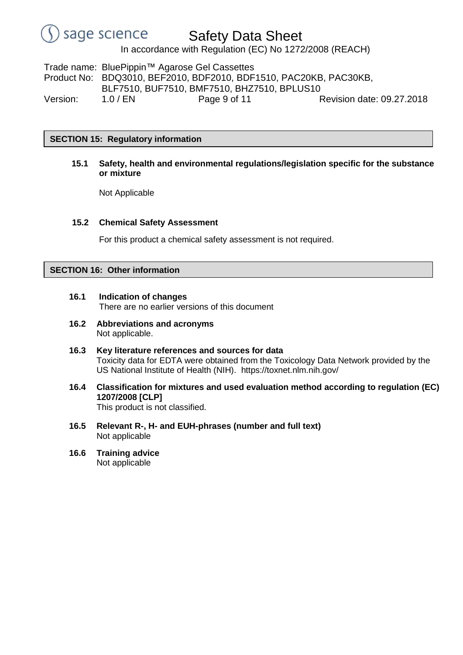# Safety Data Sheet

In accordance with Regulation (EC) No 1272/2008 (REACH)

Trade name: BluePippin™ Agarose Gel Cassettes Product No: BDQ3010, BEF2010, BDF2010, BDF1510, PAC20KB, PAC30KB, BLF7510, BUF7510, BMF7510, BHZ7510, BPLUS10 Version: 1.0 / EN Page 9 of 11 Revision date: 09.27.2018

**SECTION 15: Regulatory information**

**15.1 Safety, health and environmental regulations/legislation specific for the substance or mixture**

Not Applicable

### **15.2 Chemical Safety Assessment**

For this product a chemical safety assessment is not required.

# **SECTION 16: Other information**

- **16.1 Indication of changes** There are no earlier versions of this document
- **16.2 Abbreviations and acronyms** Not applicable.
- **16.3 Key literature references and sources for data** Toxicity data for EDTA were obtained from the Toxicology Data Network provided by the US National Institute of Health (NIH). https://toxnet.nlm.nih.gov/
- **16.4 Classification for mixtures and used evaluation method according to regulation (EC) 1207/2008 [CLP]** This product is not classified.
- **16.5 Relevant R-, H- and EUH-phrases (number and full text)** Not applicable
- **16.6 Training advice** Not applicable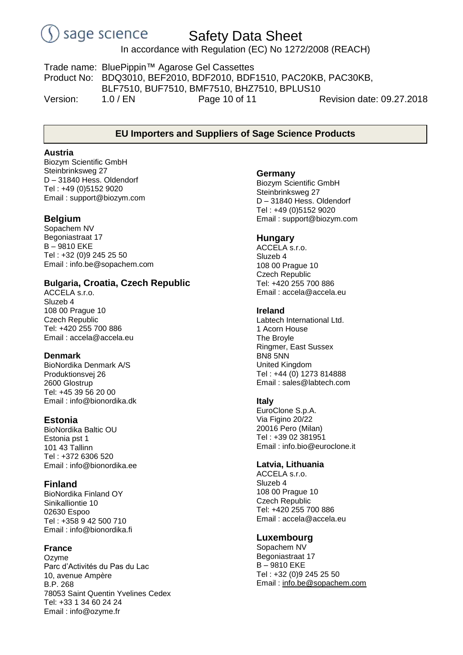# Safety Data Sheet

In accordance with Regulation (EC) No 1272/2008 (REACH)

Trade name: BluePippin™ Agarose Gel Cassettes Product No: BDQ3010, BEF2010, BDF2010, BDF1510, PAC20KB, PAC30KB, BLF7510, BUF7510, BMF7510, BHZ7510, BPLUS10 Version: 1.0 / EN Page 10 of 11 Revision date: 09.27.2018

# **EU Importers and Suppliers of Sage Science Products**

#### **Austria**

Biozym Scientific GmbH Steinbrinksweg 27 D – 31840 Hess. Oldendorf Tel : +49 (0)5152 9020 Email : support@biozym.com

# **Belgium**

Sopachem NV Begoniastraat 17 B – 9810 EKE Tel : +32 (0)9 245 25 50 Email : info.be@sopachem.com

# **Bulgaria, Croatia, Czech Republic**

ACCELA s.r.o. Sluzeb 4 108 00 Prague 10 Czech Republic Tel: +420 255 700 886 Email : accela@accela.eu

### **Denmark**

BioNordika Denmark A/S Produktionsvej 26 2600 Glostrup Tel: +45 39 56 20 00 Email : info@bionordika.dk

# **Estonia**

BioNordika Baltic OU Estonia pst 1 101 43 Tallinn Tel : +372 6306 520 Email : info@bionordika.ee

# **Finland**

BioNordika Finland OY Sinikalliontie 10 02630 Espoo Tel : +358 9 42 500 710 Email : info@bionordika.fi

# **France**

Ozyme Parc d'Activités du Pas du Lac 10, avenue Ampère B.P. 268 78053 Saint Quentin Yvelines Cedex Tel: +33 1 34 60 24 24 Email : info@ozyme.fr

#### **Germany**

Biozym Scientific GmbH Steinbrinksweg 27 D – 31840 Hess. Oldendorf Tel : +49 (0)5152 9020 Email : [support@biozym.com](mailto:support@biozym.com)

### **Hungary**

ACCELA s.r.o. Sluzeb 4 108 00 Prague 10 Czech Republic Tel: +420 255 700 886 Email : accela@accela.eu

### **Ireland**

Labtech International Ltd. 1 Acorn House The Broyle Ringmer, East Sussex BN8 5NN United Kingdom Tel : +44 (0) 1273 814888 Email : sales@labtech.com

# **Italy**

EuroClone S.p.A. Via Figino 20/22 20016 Pero (Milan) Tel : +39 02 381951 Email : info.bio@euroclone.it

### **Latvia, Lithuania**

ACCELA s.r.o. Sluzeb 4 108 00 Prague 10 Czech Republic Tel: +420 255 700 886 Email : accela@accela.eu

# **Luxembourg**

Sopachem NV Begoniastraat 17 B – 9810 EKE Tel : +32 (0)9 245 25 50 Email : [info.be@sopachem.com](mailto:info.be@sopachem.com)